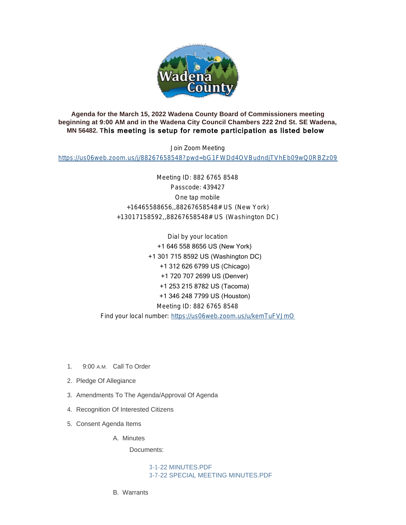

**Agenda for the March 15, 2022 Wadena County Board of Commissioners meeting beginning at 9:00 AM and in the Wadena City Council Chambers 222 2nd St. SE Wadena, MN 56482. T**his meeting is setup for remote participation as listed below

Join Zoom Meeting

<https://us06web.zoom.us/j/88267658548?pwd=bG1FWDd4OVBudndjTVhEb09wQ0RBZz09>

Meeting ID: 882 6765 8548 Passcode: 439427 One tap mobile +16465588656,,88267658548# US (New York) +13017158592,,88267658548# US (Washington DC)

Dial by your location +1 646 558 8656 US (New York) +1 301 715 8592 US (Washington DC) +1 312 626 6799 US (Chicago) +1 720 707 2699 US (Denver) +1 253 215 8782 US (Tacoma) +1 346 248 7799 US (Houston) Meeting ID: 882 6765 8548 Find your local number: <https://us06web.zoom.us/u/kemTuFVJmO>

- 1. 9:00 A.M. Call To Order
- 2. Pledge Of Allegiance
- 3. Amendments To The Agenda/Approval Of Agenda
- 4. Recognition Of Interested Citizens
- 5. Consent Agenda Items

A. Minutes

Documents:

[3-1-22 MINUTES.PDF](http://mn-wadenacounty.civicplus.com/AgendaCenter/ViewFile/Item/4664?fileID=7155) [3-7-22 SPECIAL MEETING MINUTES.PDF](http://mn-wadenacounty.civicplus.com/AgendaCenter/ViewFile/Item/4664?fileID=7156)

Warrants B.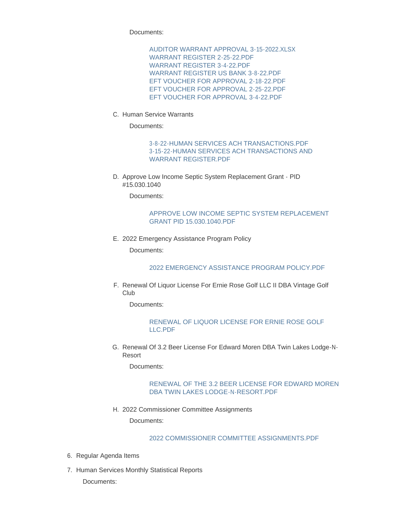Documents:

[AUDITOR WARRANT APPROVAL 3-15-2022.XLSX](http://mn-wadenacounty.civicplus.com/AgendaCenter/ViewFile/Item/4800?fileID=7129) [WARRANT REGISTER 2-25-22.PDF](http://mn-wadenacounty.civicplus.com/AgendaCenter/ViewFile/Item/4800?fileID=7130) [WARRANT REGISTER 3-4-22.PDF](http://mn-wadenacounty.civicplus.com/AgendaCenter/ViewFile/Item/4800?fileID=7131) [WARRANT REGISTER US BANK 3-8-22.PDF](http://mn-wadenacounty.civicplus.com/AgendaCenter/ViewFile/Item/4800?fileID=7132) [EFT VOUCHER FOR APPROVAL 2-18-22.PDF](http://mn-wadenacounty.civicplus.com/AgendaCenter/ViewFile/Item/4800?fileID=7133) [EFT VOUCHER FOR APPROVAL 2-25-22.PDF](http://mn-wadenacounty.civicplus.com/AgendaCenter/ViewFile/Item/4800?fileID=7134) [EFT VOUCHER FOR APPROVAL 3-4-22.PDF](http://mn-wadenacounty.civicplus.com/AgendaCenter/ViewFile/Item/4800?fileID=7135)

C. Human Service Warrants

Documents:

[3-8-22-HUMAN SERVICES ACH TRANSACTIONS.PDF](http://mn-wadenacounty.civicplus.com/AgendaCenter/ViewFile/Item/4792?fileID=7120) [3-15-22-HUMAN SERVICES ACH TRANSACTIONS AND](http://mn-wadenacounty.civicplus.com/AgendaCenter/ViewFile/Item/4792?fileID=7119)  WARRANT REGISTER.PDF

D. Approve Low Income Septic System Replacement Grant - PID #15.030.1040

Documents:

#### [APPROVE LOW INCOME SEPTIC SYSTEM REPLACEMENT](http://mn-wadenacounty.civicplus.com/AgendaCenter/ViewFile/Item/4796?fileID=7123)  GRANT PID 15.030.1040.PDF

E. 2022 Emergency Assistance Program Policy

Documents:

[2022 EMERGENCY ASSISTANCE PROGRAM POLICY.PDF](http://mn-wadenacounty.civicplus.com/AgendaCenter/ViewFile/Item/4793?fileID=7150)

F. Renewal Of Liquor License For Ernie Rose Golf LLC II DBA Vintage Golf Club

Documents:

#### [RENEWAL OF LIQUOR LICENSE FOR ERNIE ROSE GOLF](http://mn-wadenacounty.civicplus.com/AgendaCenter/ViewFile/Item/4803?fileID=7140)  LLC.PDF

G. Renewal Of 3.2 Beer License For Edward Moren DBA Twin Lakes Lodge-N-Resort

Documents:

## [RENEWAL OF THE 3.2 BEER LICENSE FOR EDWARD MOREN](http://mn-wadenacounty.civicplus.com/AgendaCenter/ViewFile/Item/4802?fileID=7139)  DBA TWIN LAKES LODGE-N-RESORT.PDF

2022 Commissioner Committee Assignments H.

Documents:

# [2022 COMMISSIONER COMMITTEE ASSIGNMENTS.PDF](http://mn-wadenacounty.civicplus.com/AgendaCenter/ViewFile/Item/4801?fileID=7144)

- 6. Regular Agenda Items
- 7. Human Services Monthly Statistical Reports

Documents: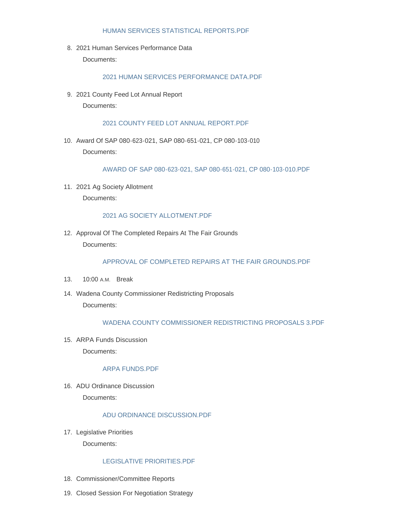#### [HUMAN SERVICES STATISTICAL REPORTS.PDF](http://mn-wadenacounty.civicplus.com/AgendaCenter/ViewFile/Item/4791?fileID=7117)

2021 Human Services Performance Data 8.

Documents:

## [2021 HUMAN SERVICES PERFORMANCE DATA.PDF](http://mn-wadenacounty.civicplus.com/AgendaCenter/ViewFile/Item/4794?fileID=7121)

9. 2021 County Feed Lot Annual Report Documents:

#### [2021 COUNTY FEED LOT ANNUAL REPORT.PDF](http://mn-wadenacounty.civicplus.com/AgendaCenter/ViewFile/Item/4798?fileID=7125)

Award Of SAP 080-623-021, SAP 080-651-021, CP 080-103-010 10. Documents:

[AWARD OF SAP 080-623-021, SAP 080-651-021, CP 080-103-010.PDF](http://mn-wadenacounty.civicplus.com/AgendaCenter/ViewFile/Item/4795?fileID=7122)

2021 Ag Society Allotment 11. Documents:

#### [2021 AG SOCIETY ALLOTMENT.PDF](http://mn-wadenacounty.civicplus.com/AgendaCenter/ViewFile/Item/4807?fileID=7146)

12. Approval Of The Completed Repairs At The Fair Grounds Documents:

#### [APPROVAL OF COMPLETED REPAIRS AT THE FAIR GROUNDS.PDF](http://mn-wadenacounty.civicplus.com/AgendaCenter/ViewFile/Item/4806?fileID=7145)

- 13. 10:00 A.M. Break
- 14. Wadena County Commissioner Redistricting Proposals Documents:

# [WADENA COUNTY COMMISSIONER REDISTRICTING PROPOSALS 3.PDF](http://mn-wadenacounty.civicplus.com/AgendaCenter/ViewFile/Item/4808?fileID=7158)

15. ARPA Funds Discussion Documents:

#### [ARPA FUNDS.PDF](http://mn-wadenacounty.civicplus.com/AgendaCenter/ViewFile/Item/4809?fileID=7148)

16. ADU Ordinance Discussion Documents:

#### [ADU ORDINANCE DISCUSSION.PDF](http://mn-wadenacounty.civicplus.com/AgendaCenter/ViewFile/Item/4810?fileID=7154)

17. Legislative Priorities

Documents:

## [LEGISLATIVE PRIORITIES.PDF](http://mn-wadenacounty.civicplus.com/AgendaCenter/ViewFile/Item/4805?fileID=7143)

- 18. Commissioner/Committee Reports
- 19. Closed Session For Negotiation Strategy